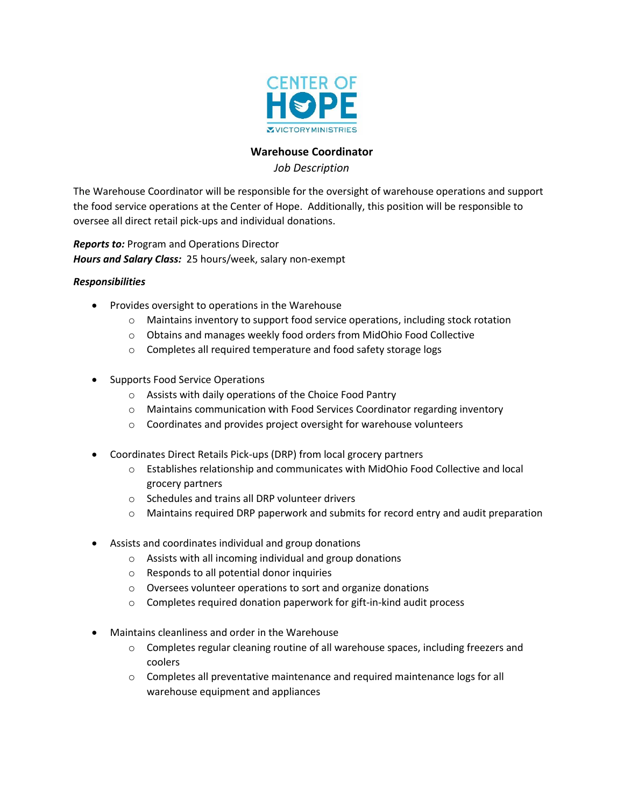

# **Warehouse Coordinator**

*Job Description*

The Warehouse Coordinator will be responsible for the oversight of warehouse operations and support the food service operations at the Center of Hope. Additionally, this position will be responsible to oversee all direct retail pick-ups and individual donations.

*Reports to:* Program and Operations Director *Hours and Salary Class:* 25 hours/week, salary non-exempt

### *Responsibilities*

- Provides oversight to operations in the Warehouse
	- $\circ$  Maintains inventory to support food service operations, including stock rotation
	- o Obtains and manages weekly food orders from MidOhio Food Collective
	- o Completes all required temperature and food safety storage logs
- Supports Food Service Operations
	- o Assists with daily operations of the Choice Food Pantry
	- o Maintains communication with Food Services Coordinator regarding inventory
	- o Coordinates and provides project oversight for warehouse volunteers
- Coordinates Direct Retails Pick-ups (DRP) from local grocery partners
	- $\circ$  Establishes relationship and communicates with MidOhio Food Collective and local grocery partners
	- o Schedules and trains all DRP volunteer drivers
	- $\circ$  Maintains required DRP paperwork and submits for record entry and audit preparation
- Assists and coordinates individual and group donations
	- o Assists with all incoming individual and group donations
	- o Responds to all potential donor inquiries
	- o Oversees volunteer operations to sort and organize donations
	- o Completes required donation paperwork for gift-in-kind audit process
- Maintains cleanliness and order in the Warehouse
	- $\circ$  Completes regular cleaning routine of all warehouse spaces, including freezers and coolers
	- o Completes all preventative maintenance and required maintenance logs for all warehouse equipment and appliances